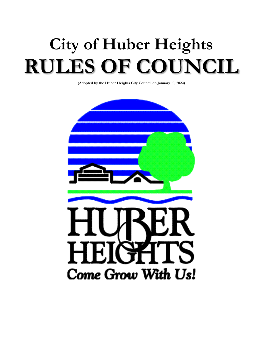# **City of Huber Heights RULES OF COUNCIL**

**(Adopted by the Huber Heights City Council on January 10, 2022)**

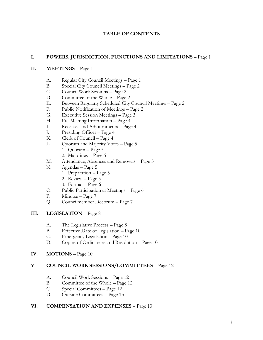#### **TABLE OF CONTENTS**

#### **I. POWERS, JURISDICTION, FUNCTIONS AND LIMITATIONS** – Page 1

#### **II. MEETINGS** – Page 1

- A. Regular City Council Meetings Page 1
- B. Special City Council Meetings Page 2
- C. Council Work Sessions Page 2
- D. Committee of the Whole Page 2
- E. Between Regularly Scheduled City Council Meetings Page 2
- F. Public Notification of Meetings Page 2
- G. Executive Session Meetings Page 3
- H. Pre-Meeting Information Page 4
- I. Recesses and Adjournments Page 4
- J. Presiding Officer Page 4
- K. Clerk of Council Page 4
- L. Quorum and Majority Votes Page 5
	- 1. Quorum Page 5
	- 2. Majorities Page 5
- M. Attendance, Absences and Removals Page 5
- N. Agendas Page 5
	- 1. Preparation Page 5
	- 2. Review Page 5
	- 3. Format Page 6
- O. Public Participation at Meetings Page 6
- P. Minutes Page 7
- Q. Councilmember Decorum Page 7

#### **III. LEGISLATION** – Page 8

- A. The Legislative Process Page 8
- B. Effective Date of Legislation Page 10
- C. Emergency Legislation Page 10
- D. Copies of Ordinances and Resolution Page 10
- **IV. MOTIONS** Page 10

#### **V. COUNCIL WORK SESSIONS/COMMITTEES** – Page 12

- A. Council Work Sessions Page 12
- B. Committee of the Whole Page 12
- C. Special Committees Page 12
- D. Outside Committees Page 13

#### **VI. COMPENSATION AND EXPENSES** – Page 13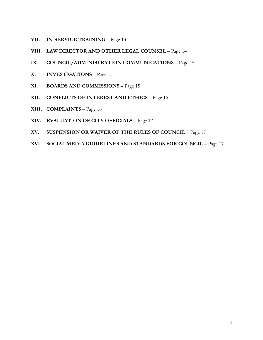- **VII. IN-SERVICE TRAINING** Page 13
- **VIII. LAW DIRECTOR AND OTHER LEGAL COUNSEL** Page 14
- **IX. COUNCIL/ADMINISTRATION COMMUNICATIONS** Page 15
- **X. INVESTIGATIONS** Page 15
- **XI. BOARDS AND COMMISSIONS** Page 15
- **XII. CONFLICTS OF INTEREST AND ETHICS** Page 16
- **XIII. COMPLAINTS** Page 16
- **XIV. EVALUATION OF CITY OFFICIALS**  Page 17
- **XV. SUSPENSION OR WAIVER OF THE RULES OF COUNCIL** Page 17
- **XVI. SOCIAL MEDIA GUIDELINES AND STANDARDS FOR COUNCIL** Page 17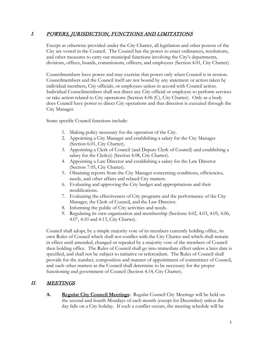## I. POWERS, JURISDICTION, FUNCTIONS AND LIMITATIONS

Except as otherwise provided under the City Charter, all legislation and other powers of the City are vested in the Council. The Council has the power to enact ordinances, resolutions, and other measures to carry out municipal functions involving the City's departments, divisions, offices, boards, commissions, officers, and employees (Section 4.01, City Charter).

Councilmembers have power and may exercise that power only when Council is in session. Councilmembers and the Council itself are not bound by any statement or action taken by individual members, City officials, or employees unless in accord with Council action. Individual Councilmembers shall not direct any City official or employee to perform services or take action related to City operations (Section 4.06 (C), City Charter). Only as a body does Council have power to direct City operations and that direction is executed through the City Manager.

Some specific Council functions include:

- 1. Making policy necessary for the operation of the City.
- 2. Appointing a City Manager and establishing a salary for the City Manager (Section 6.01, City Charter).
- 3. Appointing a Clerk of Council (and Deputy Clerk of Council) and establishing a salary for the Clerk(s) (Section 4.08, City Charter).
- 4. Appointing a Law Director and establishing a salary for the Law Director (Section 7.05, City Charter).
- 5. Obtaining reports from the City Manager concerning conditions, efficiencies, needs, and other affairs and related City matters.
- 6. Evaluating and approving the City budget and appropriations and their modifications.
- 7. Evaluating the effectiveness of City programs and the performance of the City Manager, the Clerk of Council, and the Law Director.
- 8. Informing the public of City activities and needs.
- 9. Regulating its own organization and membership (Sections 4.02, 4.03, 4.05, 4.06, 4.07, 4.10 and 4.13, City Charter).

Council shall adopt, by a simple majority vote of its members currently holding office, its own Rules of Council which shall not conflict with the City Charter and which shall remain in effect until amended, changed or repealed by a majority vote of the members of Council then holding office. The Rules of Council shall go into immediate effect unless a later date is specified, and shall not be subject to initiative or referendum. The Rules of Council shall provide for the number, composition and manner of appointment of committees of Council, and such other matters as the Council shall determine to be necessary for the proper functioning and government of Council (Section 4.14, City Charter).

## II. MEETINGS

**A. Regular City Council Meetings:** Regular Council City Meetings will be held on the second and fourth Mondays of each month (except for December) unless the day falls on a City holiday. If such a conflict occurs, the meeting schedule will be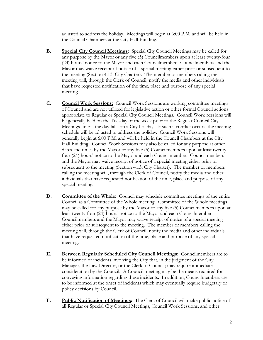adjusted to address the holiday. Meetings will begin at 6:00 P.M. and will be held in the Council Chambers at the City Hall Building.

- **B. Special City Council Meetings:** Special City Council Meetings may be called for any purpose by the Mayor or any five (5) Councilmembers upon at least twenty-four (24) hours' notice to the Mayor and each Councilmember. Councilmembers and the Mayor may waive receipt of notice of a special meeting either prior or subsequent to the meeting (Section 4.13, City Charter). The member or members calling the meeting will, through the Clerk of Council, notify the media and other individuals that have requested notification of the time, place and purpose of any special meeting.
- **C. Council Work Sessions:** Council Work Sessions are working committee meetings of Council and are not utilized for legislative action or other formal Council actions appropriate to Regular or Special City Council Meetings. Council Work Sessions will be generally held on the Tuesday of the week prior to the Regular Council City Meetings unless the day falls on a City holiday. If such a conflict occurs, the meeting schedule will be adjusted to address the holiday. Council Work Sessions will generally begin at 6:00 P.M. and will be held in the Council Chambers at the City Hall Building. Council Work Sessions may also be called for any purpose at other dates and times by the Mayor or any five (5) Councilmembers upon at least twentyfour (24) hours' notice to the Mayor and each Councilmember. Councilmembers and the Mayor may waive receipt of notice of a special meeting either prior or subsequent to the meeting (Section 4.13, City Charter). The member or members calling the meeting will, through the Clerk of Council, notify the media and other individuals that have requested notification of the time, place and purpose of any special meeting.
- **D. Committee of the Whole:** Council may schedule committee meetings of the entire Council as a Committee of the Whole meeting. Committee of the Whole meetings may be called for any purpose by the Mayor or any five (5) Councilmembers upon at least twenty-four (24) hours' notice to the Mayor and each Councilmember. Councilmembers and the Mayor may waive receipt of notice of a special meeting either prior or subsequent to the meeting. The member or members calling the meeting will, through the Clerk of Council, notify the media and other individuals that have requested notification of the time, place and purpose of any special meeting.
- **E. Between Regularly Scheduled City Council Meetings:** Councilmembers are to be informed of incidents involving the City that, in the judgment of the City Manager, the Law Director, or the Clerk of Council; may require immediate consideration by the Council. A Council meeting may be the means required for conveying information regarding these incidents. In addition, Councilmembers are to be informed at the onset of incidents which may eventually require budgetary or policy decisions by Council.
- **F. Public Notification of Meetings:** The Clerk of Council will make public notice of all Regular or Special City Council Meetings, Council Work Sessions, and other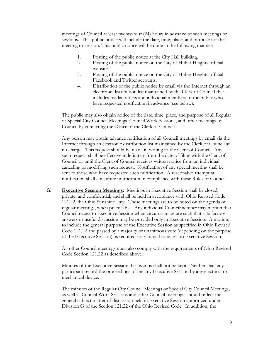meetings of Council at least twenty-four (24) hours in advance of such meetings or sessions. This public notice will include the date, time, place, and purpose for the meeting or session. This public notice will be done in the following manner:

- 1. Posting of the public notice at the City Hall building.
- 2. Posting of the public notice on the City of Huber Heights official website.
- 3. Posting of the public notice on the City of Huber Heights official Facebook and Twitter accounts.
- 4. Distribution of the public notice by email via the Internet through an electronic distribution list maintained by the Clerk of Council that includes media outlets and individual members of the public who have requested notification in advance (see below).

The public may also obtain notice of the date, time, place, and purpose of all Regular or Special City Council Meetings, Council Work Sessions, and other meetings of Council by contacting the Office of the Clerk of Council.

Any person may obtain advance notification of all Council meetings by email via the Internet through an electronic distribution list maintained by the Clerk of Council at no charge. This request should be made in writing to the Clerk of Council. Any such request shall be effective indefinitely from the date of filing with the Clerk of Council or until the Clerk of Council receives written notice from an individual canceling or modifying such request. Notification of any special meeting shall be sent to those who have requested such notification. A reasonable attempt at notification shall constitute notification in compliance with these Rules of Council.

**G. Executive Session Meetings:** Meetings in Executive Session shall be closed, private, and confidential; and shall be held in accordance with Ohio Revised Code 121.22, the Ohio Sunshine Law. These meetings are to be noted on the agenda of regular meetings, when practicable. Any individual Councilmember may motion that Council recess to Executive Session when circumstances are such that satisfactory answers or useful discussion may be provided only in Executive Session. A motion, to include the general purpose of the Executive Session as specified in Ohio Revised Code 121.22 and passed by a majority or unanimous vote (depending on the purpose of the Executive Session), is required for Council to recess to Executive Session.

All other Council meetings must also comply with the requirements of Ohio Revised Code Section 121.22 as described above.

Minutes of the Executive Session discussions shall not be kept. Neither shall any participant record the proceedings of the any Executive Session by any electrical or mechanical device.

The minutes of the Regular City Council Meetings or Special City Council Meetings, as well as Council Work Sessions and other Council meetings, should reflect the general subject matter of discussion held in Executive Session authorized under Division G of the Section 121.22 of the Ohio Revised Code. In addition, the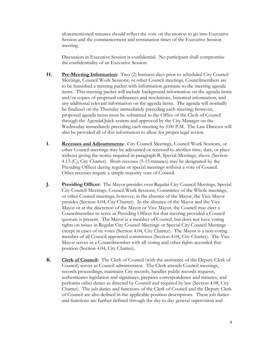aforementioned minutes should reflect the vote on the motion to go into Executive Session and the commencement and termination times of the Executive Session meeting.

Discussion in Executive Session is confidential. No participant shall compromise the confidentiality of an Executive Session.

- **H. Pre-Meeting Information:** Two (2) business days prior to scheduled City Council Meetings, Council Work Sessions, or other Council meetings, Councilmembers are to be furnished a meeting packet with information germane to the meeting agenda items. This meeting packet will include background information on the agenda items and/or copies of proposed ordinances and resolutions, historical information, and any additional relevant information on the agenda items. The agenda will normally be finalized on the Thursday immediately preceding each meeting; however, proposed agenda items must be submitted to the Office of the Clerk of Council through the AgendaQuick system and approved by the City Manager on the Wednesday immediately preceding each meeting by 5:00 P.M. The Law Director will also be provided all of this information to allow for proper legal review.
- **I. Recesses and Adjournments:** City Council Meetings, Council Work Sessions, or other Council meetings may be adjourned or recessed to another time, date, or place without giving the notice required in paragraph B, Special Meetings, above (Section 4.13 (C), City Charter). Short recesses (5-15 minutes) may be designated by the Presiding Officer during regular or special meetings without a vote of Council. Other recesses require a simple majority vote of Council.
- **J. Presiding Officer:** The Mayor presides over Regular City Council Meetings, Special City Council Meetings, Council Work Sessions, Committee of the Whole meetings, or other Council meetings; however, in the absence of the Mayor, the Vice Mayor presides (Section 4.04, City Charter). In the absence of the Mayor and the Vice Mayor or at the discretion of the Mayor or Vice Mayor, the Council may elect a Councilmember to serve as Presiding Officer for that meeting provided a Council quorum is present. The Mayor is a member of Council, but does not have voting rights on issues in Regular City Council Meetings or Special City Council Meetings except in cases of tie votes (Section 4.04, City Charter). The Mayor is a non-voting member of all Council appointed committees (Section 4.04, City Charter). The Vice Mayor serves as a Councilmember with all voting and other rights accorded that position (Section 4.04, City Charter).
- **K. Clerk of Council:** The Clerk of Council (with the assistance of the Deputy Clerk of Council) serves as Council administrator. The Clerk attends Council meetings, records proceedings, maintains City records, handles public records requests, authenticates legislation and signatures, prepares correspondence and minutes, and performs other duties as directed by Council and required by law (Section 4.08, City Charter). The job duties and functions of the Clerk of Council and the Deputy Clerk of Council are also defined in the applicable position descriptions. These job duties and functions are further defined through the day to day general supervision and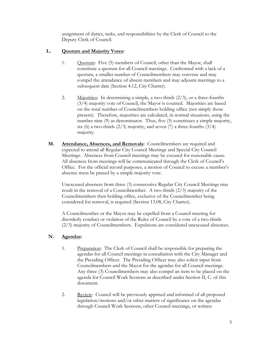assignment of duties, tasks, and responsibilities by the Clerk of Council to the Deputy Clerk of Council.

#### **L. Quorum and Majority Votes:**

- 1. Quorum: Five (5) members of Council, other than the Mayor, shall constitute a quorum for all Council meetings. Confronted with a lack of a quorum, a smaller number of Councilmembers may convene and may compel the attendance of absent members and may adjourn meetings to a subsequent date (Section 4.12, City Charter).
- 2. Majorities: In determining a simple, a two-thirds  $(2/3)$ , or a three-fourths (3/4) majority vote of Council, the Mayor is counted. Majorities are based on the total number of Councilmembers holding office (not simply those present). Therefore, majorities are calculated, in normal situations, using the number nine (9) as denominator. Thus, five (5) constitutes a simple majority, six (6) a two-thirds  $(2/3)$  majority, and seven (7) a three-fourths  $(3/4)$ majority.
- **M. Attendance, Absences, and Removals:** Councilmembers are required and expected to attend all Regular City Council Meetings and Special City Council Meetings. Absences from Council meetings may be excused for reasonable cause. All absences from meetings will be communicated through the Clerk of Council's Office. For the official record purposes, a motion of Council to excuse a member's absence must be passed by a simple majority vote.

Unexcused absences from three (3) consecutive Regular City Council Meetings may result in the removal of a Councilmember. A two-thirds (2/3) majority of the Councilmembers then holding office, exclusive of the Councilmember being considered for removal, is required (Section 13.08, City Charter).

A Councilmember or the Mayor may be expelled from a Council meeting for disorderly conduct or violation of the Rules of Council by a vote of a two-thirds (2/3) majority of Councilmembers. Expulsions are considered unexcused absences.

#### **N. Agendas:**

- 1. Preparation: The Clerk of Council shall be responsible for preparing the agendas for all Council meetings in consultation with the City Manager and the Presiding Officer. The Presiding Officer may also solicit input from Councilmembers and the Mayor for the agendas for all Council meetings. Any three (3) Councilmembers may also compel an item to be placed on the agenda for Council Work Sessions as described under Section II, C. of this document.
- 2. Review: Council will be previously apprised and informed of all proposed legislation/motions and/or other matters of significance on the agendas through Council Work Sessions, other Council meetings, or written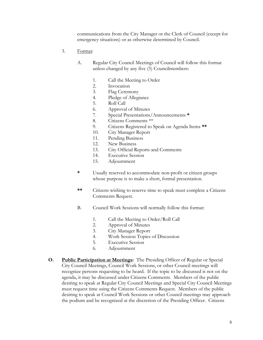communications from the City Manager or the Clerk of Council (except for emergency situations) or as otherwise determined by Council.

- 3. Format:
	- A. Regular City Council Meetings of Council will follow this format unless changed by any five (5) Councilmembers:
		- 1. Call the Meeting to Order
		- 2. Invocation
		- 3. Flag Ceremony
		- 4. Pledge of Allegiance
		- 5. Roll Call
		- 6. Approval of Minutes
		- 7. Special Presentations/Announcements **\***
		- 8. Citizens Comments \*\*
		- 9. Citizens Registered to Speak on Agenda Items **\*\***
		- 10. City Manager Report
		- 11. Pending Business
		- 12. New Business
		- 13. City Official Reports and Comments
		- 14. Executive Session
		- 15. Adjournment
	- **\*** Usually reserved to accommodate non-profit or citizen groups whose purpose is to make a short, formal presentation.
	- **\*\*** Citizens wishing to reserve time to speak must complete a Citizens Comments Request.
	- B. Council Work Sessions will normally follow this format:
		- 1. Call the Meeting to Order/Roll Call
		- 2. Approval of Minutes
		- 3. City Manager Report
		- 4. Work Session Topics of Discussion
		- 5. Executive Session
		- 6. Adjournment
- **O. Public Participation at Meetings:** The Presiding Officer of Regular or Special City Council Meetings, Council Work Sessions, or other Council meetings will recognize persons requesting to be heard. If the topic to be discussed is not on the agenda, it may be discussed under Citizens Comments. Members of the public desiring to speak at Regular City Council Meetings and Special City Council Meetings must request time using the Citizens Comments Request. Members of the public desiring to speak at Council Work Sessions or other Council meetings may approach the podium and be recognized at the discretion of the Presiding Officer. Citizens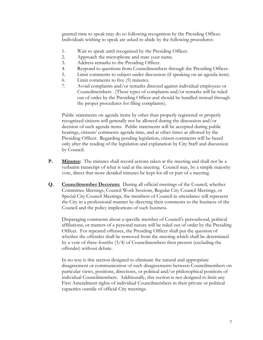granted time to speak may do so following recognition by the Presiding Officer. Individuals wishing to speak are asked to abide by the following procedures:

- 1. Wait to speak until recognized by the Presiding Officer.
- 2. Approach the microphone and state your name.
- 3. Address remarks to the Presiding Officer.
- 4. Respond to questions from Councilmembers through the Presiding Officer.
- 5. Limit comments to subject under discussion (if speaking on an agenda item).
- 6. Limit comments to five (5) minutes.
- 7. Avoid complaints and/or remarks directed against individual employees or Councilmembers. (These types of complaints and/or remarks will be ruled out of order by the Presiding Officer and should be handled instead through the proper procedures for filing complaints).

Public statements on agenda items by other than properly registered or properly recognized citizens will generally not be allowed during the discussion and/or decision of such agenda items. Public statements will be accepted during public hearings, citizens' comments agenda time, and at other times as allowed by the Presiding Officer. Regarding pending legislation, citizen comments will be heard only after the reading of the legislation and explanation by City Staff and discussion by Council.

- **P. Minutes:** The minutes shall record actions taken at the meeting and shall not be a verbatim transcript of what is said at the meeting. Council may, by a simple majority vote, direct that more detailed minutes be kept for all or part of a meeting.
- **Q. Councilmember Decorum:** During all official meetings of the Council, whether Committee Meetings, Council Work Sessions, Regular City Council Meetings, or Special City Council Meetings, the members of Council in attendance will represent the City in a professional manner by directing their comments to the business of the Council and the policy implications of such business.

Disparaging comments about a specific member of Council's personhood, political affiliations, or matters of a personal nature will be ruled out of order by the Presiding Officer. For repeated offenses, the Presiding Officer shall put the question of whether the offender shall be removed from the meeting which shall be determined by a vote of three-fourths (3/4) of Councilmembers then present (excluding the offender) without debate.

In no way is this section designed to eliminate the natural and appropriate disagreement or communication of such disagreements between Councilmembers on particular views, positions, directions, or political and/or philosophical positions of individual Councilmembers. Additionally, this section is not designed to limit any First Amendment rights of individual Councilmembers in their private or political capacities outside of official City meetings.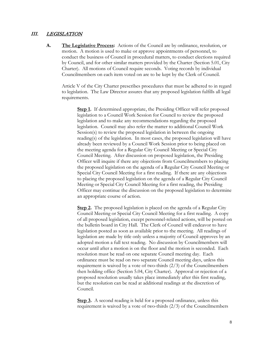#### III. LEGISLATION

**A. The Legislative Process:** Actions of the Council are by ordinance, resolution, or motion. A motion is used to make or approve appointments of personnel, to conduct the business of Council in procedural matters, to conduct elections required by Council, and for other similar matters provided by the Charter (Section 5.01, City Charter). All motions of Council require seconds. Voting records by individual Councilmembers on each item voted on are to be kept by the Clerk of Council.

Article V of the City Charter prescribes procedures that must be adhered to in regard to legislation. The Law Director assures that any proposed legislation fulfills all legal requirements.

**Step 1.** If determined appropriate, the Presiding Officer will refer proposed legislation to a Council Work Session for Council to review the proposed legislation and to make any recommendations regarding the proposed legislation. Council may also refer the matter to additional Council Work Session(s) to review the proposed legislation in between the ongoing reading(s) of the legislation. In most cases, the proposed legislation will have already been reviewed by a Council Work Session prior to being placed on the meeting agenda for a Regular City Council Meeting or Special City Council Meeting. After discussion on proposed legislation, the Presiding Officer will inquire if there any objections from Councilmembers to placing the proposed legislation on the agenda of a Regular City Council Meeting or Special City Council Meeting for a first reading. If there are any objections to placing the proposed legislation on the agenda of a Regular City Council Meeting or Special City Council Meeting for a first reading, the Presiding Officer may continue the discussion on the proposed legislation to determine an appropriate course of action.

**Step 2.** The proposed legislation is placed on the agenda of a Regular City Council Meeting or Special City Council Meeting for a first reading. A copy of all proposed legislation, except personnel-related actions, will be posted on the bulletin board in City Hall. The Clerk of Council will endeavor to have legislation posted as soon as available prior to the meeting. All readings of legislation are made by title only unless a majority of Council approves by an adopted motion a full text reading. No discussion by Councilmembers will occur until after a motion is on the floor and the motion is seconded. Each resolution must be read on one separate Council meeting day. Each ordinance must be read on two separate Council meeting days, unless this requirement is waived by a vote of two-thirds (2/3) of the Councilmembers then holding office (Section 5.04, City Charter). Approval or rejection of a proposed resolution usually takes place immediately after this first reading, but the resolution can be read at additional readings at the discretion of Council.

**Step 3.** A second reading is held for a proposed ordinance, unless this requirement is waived by a vote of two-thirds (2/3) of the Councilmembers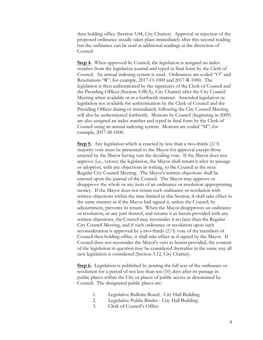then holding office (Section 5.04, City Charter). Approval or rejection of the proposed ordinance usually takes place immediately after this second reading but the ordinance can be read at additional readings at the discretion of Council.

**Step 4.** When approved by Council, the legislation is assigned an index number from the legislation journal and typed in final form by the Clerk of Council. An annual indexing system is used. Ordinances are coded "O" and Resolutions "R"; for example, 2017-O-1000 and 2017-R-1000. The legislation is then authenticated by the signatures of the Clerk of Council and the Presiding Officer (Section 5.08(A), City Charter) after the City Council Meeting when available or in a forthwith manner. Amended legislation or legislation not available for authentication by the Clerk of Council and the Presiding Officer during or immediately following the City Council Meeting will also be authenticated forthwith. Motions by Council (beginning in 2009) are also assigned an index number and typed in final form by the Clerk of Council using an annual indexing system. Motions are coded "M"; for example, 2017-M-1000.

**Step 5.** Any legislation which is enacted by less than a two-thirds (2/3) majority vote must be presented to the Mayor for approval except those enacted by the Mayor having cast the deciding vote. If the Mayor does not approve (i.e., vetoes) the legislation, the Mayor shall return it after its passage or adoption, with any objections in writing, to the Council at the next Regular City Council Meeting. The Mayor's written objections shall be entered upon the journal of the Council. The Mayor may approve or disapprove the whole or any item of an ordinance or resolution appropriating money. If the Mayor does not return such ordinance or resolution with written objections within the time limited in this Section, it shall take effect in the same manner as if the Mayor had signed it, unless the Council, by adjournment, prevents its return. When the Mayor disapproves an ordinance or resolution, or any part thereof, and returns it as herein provided with any written objections, the Council may reconsider it no later than the Regular City Council Meeting, and if such ordinance or resolution upon such reconsideration is approved by a two-thirds (2/3) vote of the members of Council then holding office, it shall take effect as if signed by the Mayor. If Council does not reconsider the Mayor's veto as herein provided, the content of the legislation in question may be considered thereafter in the same way all new legislation is considered (Section 5.12, City Charter).

**Step 6.** Legislation is published by posting the full text of the ordinance or resolution for a period of not less than ten (10) days after its passage in public places within the City or places of public access as determined by Council. The designated public places are:

- 1. Legislative Bulletin Board City Hall Building
- 2. Legislative Public Binder City Hall Building
- 3. Clerk of Council's Office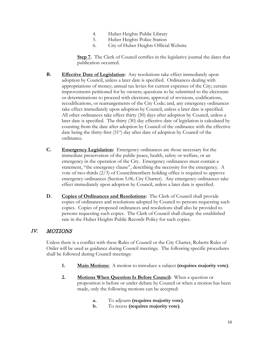- 4. Huber Heights Public Library
- 5. Huber Heights Police Station
- 6. City of Huber Heights Official Website

**Step 7.** The Clerk of Council certifies in the legislative journal the dates that publication occurred.

- **B. Effective Date of Legislation:** Any resolutions take effect immediately upon adoption by Council, unless a later date is specified. Ordinances dealing with appropriations of money; annual tax levies for current expenses of the City; certain improvements petitioned for by owners; questions to be submitted to the electorate or determinations to proceed with elections; approval of revisions, codifications, recodifications, or rearrangements of the City Code; and, any emergency ordinances take effect immediately upon adoption by Council, unless a later date is specified. All other ordinances take effect thirty (30) days after adoption by Council, unless a later date is specified. The thirty (30) day effective date of legislation is calculated by counting from the date after adoption by Council of the ordinance with the effective date being the thirty-first  $(31<sup>st</sup>)$  day after date of adoption by Council of the ordinance.
- **C. Emergency Legislation:** Emergency ordinances are those necessary for the immediate preservation of the public peace, health, safety or welfare, or an emergency in the operation of the City. Emergency ordinances must contain a statement, "the emergency clause", describing the necessity for the emergency. A vote of two-thirds (2/3) of Councilmembers holding office is required to approve emergency ordinances (Section 5.06, City Charter). Any emergency ordinances take effect immediately upon adoption by Council, unless a later date is specified.
- **D. Copies of Ordinances and Resolutions:** The Clerk of Council shall provide copies of ordinances and resolutions adopted by Council to persons requesting such copies. Copies of proposed ordinances and resolutions shall also be provided to persons requesting such copies. The Clerk of Council shall charge the established rate in the Huber Heights Public Records Policy for such copies.

#### IV. MOTIONS

Unless there is a conflict with these Rules of Council or the City Charter, Roberts Rules of Order will be used as guidance during Council meetings. The following specific procedures shall be followed during Council meetings:

- **1. Main Motions:** A motion to introduce a subject **(requires majority vote)**.
- **2. Motions When Question Is Before Council:** When a question or proposition is before or under debate by Council or when a motion has been made, only the following motions can be accepted:
	- **a.** To adjourn **(requires majority vote)**.
	- **b.** To recess **(requires majority vote)**.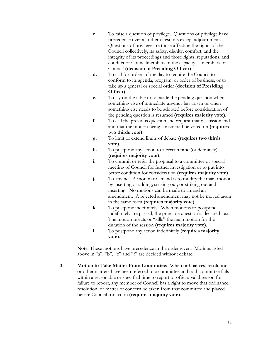- **c.** To raise a question of privilege. Questions of privilege have precedence over all other questions except adjournment. Questions of privilege are those affecting the rights of the Council collectively, its safety, dignity, comfort, and the integrity of its proceedings and those rights, reputations, and conduct of Councilmembers in the capacity as members of Council **(decision of Presiding Officer)**.
- **d.** To call for orders of the day to require the Council to conform to its agenda, program, or order of business, or to take up a general or special order **(decision of Presiding Officer)**.
- **e.** To lay on the table to set aside the pending question when something else of immediate urgency has arisen or when something else needs to be adopted before consideration of the pending question is resumed **(requires majority vote)**.
- **f.** To call the previous question and request that discussion end and that the motion being considered be voted on **(requires two thirds vote)**.
- **g.** To limit or extend limits of debate **(requires two thirds vote)**.
- **h.** To postpone any action to a certain time (or definitely) **(requires majority vote)**.
- **i.** To commit or refer the proposal to a committee or special meeting of Council for further investigation or to put into better condition for consideration **(requires majority vote)**.
- **j.** To amend. A motion to amend is to modify the main motion by inserting or adding; striking out; or striking out and inserting. No motions can be made to amend an amendment. A rejected amendment may not be moved again in the same form **(requires majority vote)**.
- **k.** To postpone indefinitely. When motions to postpone indefinitely are passed, the principle question is declared lost. The motion rejects or "kills" the main motion for the duration of the session **(requires majority vote)**.
- **l.** To postpone any action indefinitely **(requires majority vote)**.

Note: These motions have precedence in the order given. Motions listed above in "a", "b", "c" and "f" are decided without debate.

**3. Motion to Take Matter From Committee:** When ordinances, resolution, or other matters have been referred to a committee and said committee fails within a reasonable or specified time to report or offer a valid reason for failure to report, any member of Council has a right to move that ordinance, resolution, or matter of concern be taken from that committee and placed before Council for action **(requires majority vote)**.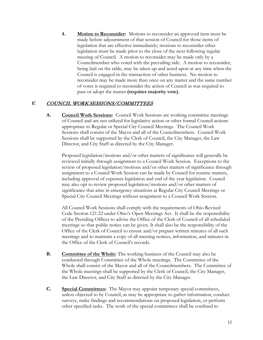**4. Motion to Reconsider:** Motions to reconsider an approved item must be made before adjournment of that session of Council for those items of legislation that are effective immediately; motions to reconsider other legislation must be made prior to the close of the next following regular meeting of Council. A motion to reconsider may be made only by a Councilmember who voted with the prevailing side. A motion to reconsider, being laid on the table, may be taken up and acted upon at any time when the Council is engaged in the transaction of other business. No motion to reconsider may be made more than once on any matter and the same number of votes is required to reconsider the action of Council as was required to pass or adopt the matter **(requires majority vote)**.

#### V. COUNCIL WORK SESSIONS/COMMITTEES

**A. Council Work Sessions:** Council Work Sessions are working committee meetings of Council and are not utilized for legislative action or other formal Council actions appropriate to Regular or Special City Council Meetings. The Council Work Sessions shall consist of the Mayor and all of the Councilmembers. Council Work Sessions shall be supported by the Clerk of Council, the City Manager, the Law Director, and City Staff as directed by the City Manager.

Proposed legislation/motions and/or other matters of significance will generally be reviewed initially through assignment to a Council Work Session. Exceptions to the review of proposed legislation/motions and/or other matters of significance through assignment to a Council Work Session can be made by Council for routine matters, including approval of expenses legislation and end of the year legislation. Council may also opt to review proposed legislation/motions and/or other matters of significance that arise in emergency situations at Regular City Council Meetings or Special City Council Meetings without assignment to a Council Work Session.

All Council Work Sessions shall comply with the requirements of Ohio Revised Code Section 121.22 under Ohio's Open Meetings Act. It shall be the responsibility of the Presiding Officer to advise the Office of the Clerk of Council of all scheduled meetings so that public notice can be given. It shall also be the responsibility of the Office of the Clerk of Council to ensure and/or prepare written minutes of all such meetings and to maintain a copy of all meeting notices, information, and minutes in the Office of the Clerk of Council's records.

- **B. Committee of the Whole:** The working business of the Council may also be conducted through Committee of the Whole meetings. The Committee of the Whole shall consist of the Mayor and all of the Councilmembers. The Committee of the Whole meetings shall be supported by the Clerk of Council, the City Manager, the Law Director, and City Staff as directed by the City Manager.
- **C. Special Committees:** The Mayor may appoint temporary special committees, unless objected to by Council, as may be appropriate to gather information, conduct surveys, make findings and recommendations on proposed legislation, or perform other specified tasks. The work of the special committees shall be confined to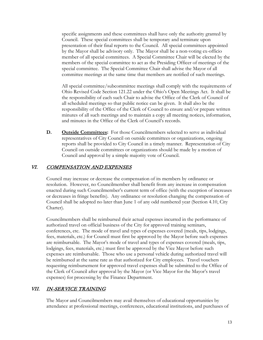specific assignments and these committees shall have only the authority granted by Council. These special committees shall be temporary and terminate upon presentation of their final reports to the Council. All special committees appointed by the Mayor shall be advisory only. The Mayor shall be a non-voting ex-officio member of all special committees. A Special Committee Chair will be elected by the members of the special committee to act as the Presiding Officer of meetings of the special committee. The Special Committee Chair shall advise the Mayor of all committee meetings at the same time that members are notified of such meetings.

All special committee/subcommittee meetings shall comply with the requirements of Ohio Revised Code Section 121.22 under the Ohio's Open Meetings Act. It shall be the responsibility of each such Chair to advise the Office of the Clerk of Council of all scheduled meetings so that public notice can be given. It shall also be the responsibility of the Office of the Clerk of Council to ensure and/or prepare written minutes of all such meetings and to maintain a copy all meeting notices, information, and minutes in the Office of the Clerk of Council's records.

**D. Outside Committees:** For those Councilmembers selected to serve as individual representatives of City Council on outside committees or organizations, ongoing reports shall be provided to City Council in a timely manner. Representation of City Council on outside committees or organizations should be made by a motion of Council and approval by a simple majority vote of Council.

### VI. COMPENSATION AND EXPENSES

Council may increase or decrease the compensation of its members by ordinance or resolution. However, no Councilmember shall benefit from any increase in compensation enacted during such Councilmember's current term of office (with the exception of increases or decreases in fringe benefits). Any ordinance or resolution changing the compensation of Council shall be adopted no later than June 1 of any odd numbered year (Section 4.10, City Charter).

Councilmembers shall be reimbursed their actual expenses incurred in the performance of authorized travel on official business of the City for approved training seminars, conferences, etc. The mode of travel and types of expenses covered (meals, tips, lodgings, fees, materials, etc.) for Council must first be approved by the Mayor before such expenses are reimbursable. The Mayor's mode of travel and types of expenses covered (meals, tips, lodgings, fees, materials, etc.) must first be approved by the Vice Mayor before such expenses are reimbursable. Those who use a personal vehicle during authorized travel will be reimbursed at the same rate as that authorized for City employees. Travel vouchers requesting reimbursement for approved travel expenses shall be submitted to the Office of the Clerk of Council after approval by the Mayor (or Vice Mayor for the Mayor's travel expenses) for processing by the Finance Department.

#### VII. IN-SERVICE TRAINING

The Mayor and Councilmembers may avail themselves of educational opportunities by attendance at professional meetings, conferences, educational institutions, and purchases of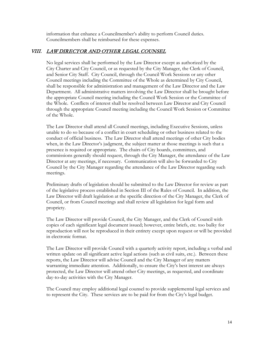information that enhance a Councilmember's ability to perform Council duties. Councilmembers shall be reimbursed for these expenses.

## VIII. LAW DIRECTOR AND OTHER LEGAL COUNSEL

No legal services shall be performed by the Law Director except as authorized by the City Charter and City Council, or as requested by the City Manager, the Clerk of Council, and Senior City Staff. City Council, through the Council Work Sessions or any other Council meetings including the Committee of the Whole as determined by City Council, shall be responsible for administration and management of the Law Director and the Law Department. All administrative matters involving the Law Director shall be brought before the appropriate Council meeting including the Council Work Session or the Committee of the Whole. Conflicts of interest shall be resolved between Law Director and City Council through the appropriate Council meeting including the Council Work Session or Committee of the Whole.

The Law Director shall attend all Council meetings, including Executive Sessions, unless unable to do so because of a conflict in court scheduling or other business related to the conduct of official business. The Law Director shall attend meetings of other City bodies when, in the Law Director's judgment, the subject matter at those meetings is such that a presence is required or appropriate. The chairs of City boards, committees, and commissions generally should request, through the City Manager, the attendance of the Law Director at any meetings, if necessary. Communication will also be forwarded to City Council by the City Manager regarding the attendance of the Law Director regarding such meetings.

Preliminary drafts of legislation should be submitted to the Law Director for review as part of the legislative process established in Section III of the Rules of Council. In addition, the Law Director will draft legislation at the specific direction of the City Manager, the Clerk of Council, or from Council meetings and shall review all legislation for legal form and propriety.

The Law Director will provide Council, the City Manager, and the Clerk of Council with copies of each significant legal document issued; however, entire briefs, etc. too bulky for reproduction will not be reproduced in their entirety except upon request or will be provided in electronic format.

The Law Director will provide Council with a quarterly activity report, including a verbal and written update on all significant active legal actions (such as civil suits, etc.). Between these reports, the Law Director will advise Council and the City Manager of any matters warranting immediate attention. Additionally, to ensure the City's best interest are always protected, the Law Director will attend other City meetings, as requested, and coordinate day-to-day activities with the City Manager.

The Council may employ additional legal counsel to provide supplemental legal services and to represent the City. These services are to be paid for from the City's legal budget.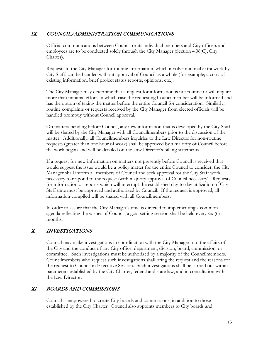#### IX. COUNCIL/ADMINISTRATION COMMUNICATIONS

Official communications between Council or its individual members and City officers and employees are to be conducted solely through the City Manager (Section 4.06(C), City Charter).

Requests to the City Manager for routine information, which involve minimal extra work by City Staff, can be handled without approval of Council as a whole (for example; a copy of existing information, brief project status reports, opinions, etc.).

The City Manager may determine that a request for information is not routine or will require more than minimal effort, in which case the requesting Councilmember will be informed and has the option of taking the matter before the entire Council for consideration. Similarly, routine complaints or requests received by the City Manager from elected officials will be handled promptly without Council approval.

On matters pending before Council, any new information that is developed by the City Staff will be shared by the City Manager with all Councilmembers prior to the discussion of the matter. Additionally, all Councilmembers inquiries to the Law Director for non-routine requests (greater than one hour of work) shall be approved by a majority of Council before the work begins and will be detailed on the Law Director's billing statements.

If a request for new information on matters not presently before Council is received that would suggest the issue would be a policy matter for the entire Council to consider, the City Manager shall inform all members of Council and seek approval for the City Staff work necessary to respond to the request (with majority approval of Council necessary). Requests for information or reports which will interrupt the established day-to-day utilization of City Staff time must be approved and authorized by Council. If the request is approved, all information compiled will be shared with all Councilmembers.

In order to assure that the City Manager's time is directed to implementing a common agenda reflecting the wishes of Council, a goal setting session shall be held every six (6) months.

# X. INVESTIGATIONS

Council may make investigations in coordination with the City Manager into the affairs of the City and the conduct of any City office, department, division, board, commission, or committee. Such investigations must be authorized by a majority of the Councilmembers. Councilmembers who request such investigations shall bring the request and the reasons for the request to Council in Executive Session. Such investigations shall be carried out within parameters established by the City Charter, federal and state law, and in consultation with the Law Director.

## XI. BOARDS AND COMMISSIONS

Council is empowered to create City boards and commissions, in addition to those established by the City Charter. Council also appoints members to City boards and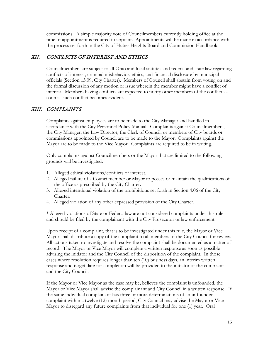commissions. A simple majority vote of Councilmembers currently holding office at the time of appointment is required to appoint. Appointments will be made in accordance with the process set forth in the City of Huber Heights Board and Commission Handbook.

#### XII. CONFLICTS OF INTEREST AND ETHICS

Councilmembers are subject to all Ohio and local statutes and federal and state law regarding conflicts of interest, criminal misbehavior, ethics, and financial disclosure by municipal officials (Section 13.09, City Charter). Members of Council shall abstain from voting on and the formal discussion of any motion or issue wherein the member might have a conflict of interest. Members having conflicts are expected to notify other members of the conflict as soon as such conflict becomes evident.

# XIII. COMPLAINTS

Complaints against employees are to be made to the City Manager and handled in accordance with the City Personnel Policy Manual. Complaints against Councilmembers, the City Manager, the Law Director, the Clerk of Council, or members of City boards or commissions appointed by Council are to be made to the Mayor. Complaints against the Mayor are to be made to the Vice Mayor. Complaints are required to be in writing.

Only complaints against Councilmembers or the Mayor that are limited to the following grounds will be investigated:

- 1. Alleged ethical violations/conflicts of interest.
- 2. Alleged failure of a Councilmember or Mayor to posses or maintain the qualifications of the office as prescribed by the City Charter.
- 3. Alleged intentional violation of the prohibitions set forth in Section 4.06 of the City Charter.
- 4. Alleged violation of any other expressed provision of the City Charter.

\* Alleged violations of State or Federal law are not considered complaints under this rule and should be filed by the complainant with the City Prosecutor or law enforcement.

Upon receipt of a complaint, that is to be investigated under this rule, the Mayor or Vice Mayor shall distribute a copy of the complaint to all members of the City Council for review. All actions taken to investigate and resolve the complaint shall be documented as a matter of record. The Mayor or Vice Mayor will complete a written response as soon as possible advising the initiator and the City Council of the disposition of the complaint. In those cases where resolution requires longer than ten (10) business days, an interim written response and target date for completion will be provided to the initiator of the complaint and the City Council.

If the Mayor or Vice Mayor as the case may be, believes the complaint is unfounded, the Mayor or Vice Mayor shall advise the complainant and City Council in a written response. If the same individual complainant has three or more determinations of an unfounded complaint within a twelve (12) month period, City Council may advise the Mayor or Vice Mayor to disregard any future complaints from that individual for one (1) year. Oral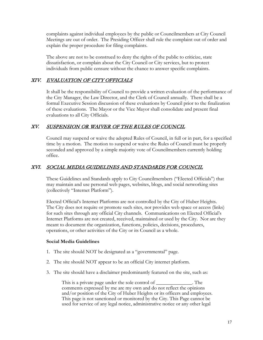complaints against individual employees by the public or Councilmembers at City Council Meetings are out of order. The Presiding Officer shall rule the complaint out of order and explain the proper procedure for filing complaints.

The above are not to be construed to deny the rights of the public to criticize, state dissatisfaction, or complain about the City Council or City services, but to protect individuals from public censure without the chance to answer specific complaints.

# XIV. EVALUATION OF CITY OFFICIALS

It shall be the responsibility of Council to provide a written evaluation of the performance of the City Manager, the Law Director, and the Clerk of Council annually. There shall be a formal Executive Session discussion of these evaluations by Council prior to the finalization of these evaluations. The Mayor or the Vice Mayor shall consolidate and present final evaluations to all City Officials.

## XV. SUSPENSION OR WAIVER OF THE RULES OF COUNCIL

Council may suspend or waive the adopted Rules of Council, in full or in part, for a specified time by a motion. The motion to suspend or waive the Rules of Council must be properly seconded and approved by a simple majority vote of Councilmembers currently holding office.

### XVI. SOCIAL MEDIA GUIDELINES AND STANDARDS FOR COUNCIL

These Guidelines and Standards apply to City Councilmembers ("Elected Officials") that may maintain and use personal web pages, websites, blogs, and social networking sites (collectively "Internet Platform").

Elected Official's Internet Platforms are not controlled by the City of Huber Heights. The City does not require or promote such sites, nor provides web space or access (links) for such sites through any official City channels. Communications on Elected Official's Internet Platforms are not created, received, maintained or used by the City. Nor are they meant to document the organization, functions, policies, decisions, procedures, operations, or other activities of the City or its Council as a whole.

#### **Social Media Guidelines**

- 1. The site should NOT be designated as a "governmental" page.
- 2. The site should NOT appear to be an official City internet platform.
- 3. The site should have a disclaimer predominantly featured on the site, such as:

This is a private page under the sole control of \_\_\_\_\_\_\_\_\_\_\_\_\_\_. The comments expressed by me are my own and do not reflect the opinions and/or position of the City of Huber Heights or its officers and employees. This page is not sanctioned or monitored by the City. This Page cannot be used for service of any legal notice, administrative notice or any other legal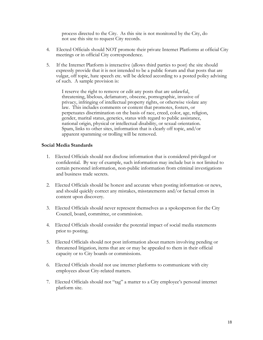process directed to the City. As this site is not monitored by the City, do not use this site to request City records.

- 4. Elected Officials should NOT promote their private Internet Platforms at official City meetings or in official City correspondence.
- 5. If the Internet Platform is interactive (allows third parties to post) the site should expressly provide that it is not intended to be a public forum and that posts that are vulgar, off topic, hate speech etc. will be deleted according to a posted policy advising of such. A sample provision is:

I reserve the right to remove or edit any posts that are unlawful, threatening, libelous, defamatory, obscene, pornographic, invasive of privacy, infringing of intellectual property rights, or otherwise violate any law. This includes comments or content that promotes, fosters, or perpetuates discrimination on the basis of race, creed, color, age, religion, gender, marital status, genetics, status with regard to public assistance, national origin, physical or intellectual disability, or sexual orientation. Spam, links to other sites, information that is clearly off topic, and/or apparent spamming or trolling will be removed.

#### **Social Media Standards**

- 1. Elected Officials should not disclose information that is considered privileged or confidential. By way of example, such information may include but is not limited to certain personnel information, non-public information from criminal investigations and business trade secrets.
- 2. Elected Officials should be honest and accurate when posting information or news, and should quickly correct any mistakes, misstatements and/or factual errors in content upon discovery.
- 3. Elected Officials should never represent themselves as a spokesperson for the City Council, board, committee, or commission.
- 4. Elected Officials should consider the potential impact of social media statements prior to posting.
- 5. Elected Officials should not post information about matters involving pending or threatened litigation, items that are or may be appealed to them in their official capacity or to City boards or commissions.
- 6. Elected Officials should not use internet platforms to communicate with city employees about City-related matters.
- 7. Elected Officials should not "tag" a matter to a City employee's personal internet platform site.